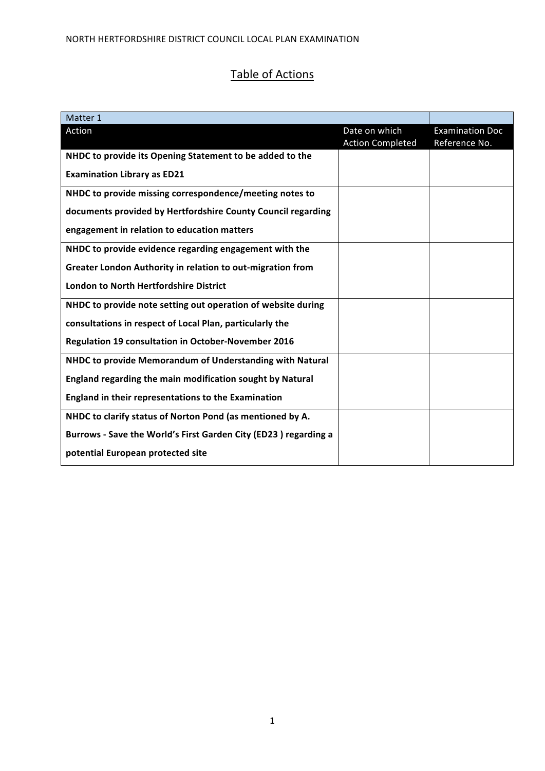# Table of Actions

| Matter 1                                                        |                                          |                                         |
|-----------------------------------------------------------------|------------------------------------------|-----------------------------------------|
| Action                                                          | Date on which<br><b>Action Completed</b> | <b>Examination Doc</b><br>Reference No. |
| NHDC to provide its Opening Statement to be added to the        |                                          |                                         |
| <b>Examination Library as ED21</b>                              |                                          |                                         |
| NHDC to provide missing correspondence/meeting notes to         |                                          |                                         |
| documents provided by Hertfordshire County Council regarding    |                                          |                                         |
| engagement in relation to education matters                     |                                          |                                         |
| NHDC to provide evidence regarding engagement with the          |                                          |                                         |
| Greater London Authority in relation to out-migration from      |                                          |                                         |
| <b>London to North Hertfordshire District</b>                   |                                          |                                         |
| NHDC to provide note setting out operation of website during    |                                          |                                         |
| consultations in respect of Local Plan, particularly the        |                                          |                                         |
| <b>Regulation 19 consultation in October-November 2016</b>      |                                          |                                         |
| NHDC to provide Memorandum of Understanding with Natural        |                                          |                                         |
| England regarding the main modification sought by Natural       |                                          |                                         |
| <b>England in their representations to the Examination</b>      |                                          |                                         |
| NHDC to clarify status of Norton Pond (as mentioned by A.       |                                          |                                         |
| Burrows - Save the World's First Garden City (ED23) regarding a |                                          |                                         |
| potential European protected site                               |                                          |                                         |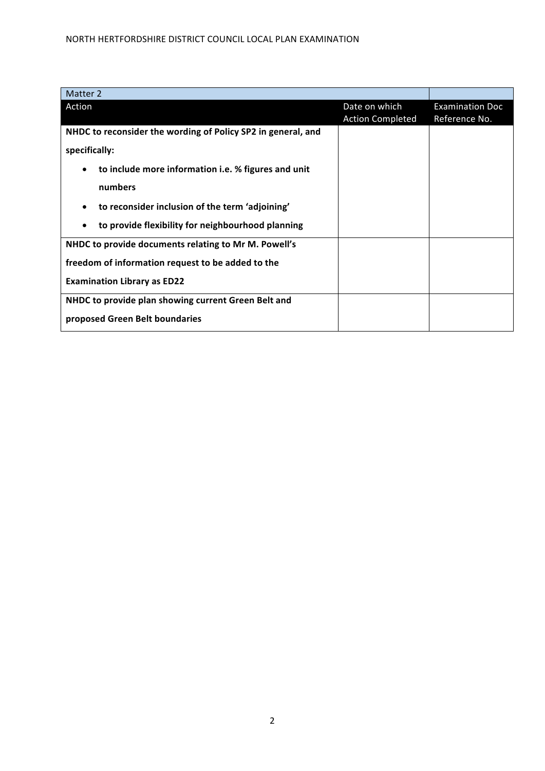| Date on which | <b>Examination Doc</b>  |
|---------------|-------------------------|
|               | Reference No.           |
|               |                         |
|               |                         |
|               |                         |
|               |                         |
|               |                         |
|               |                         |
|               |                         |
|               |                         |
|               |                         |
|               |                         |
|               |                         |
|               | <b>Action Completed</b> |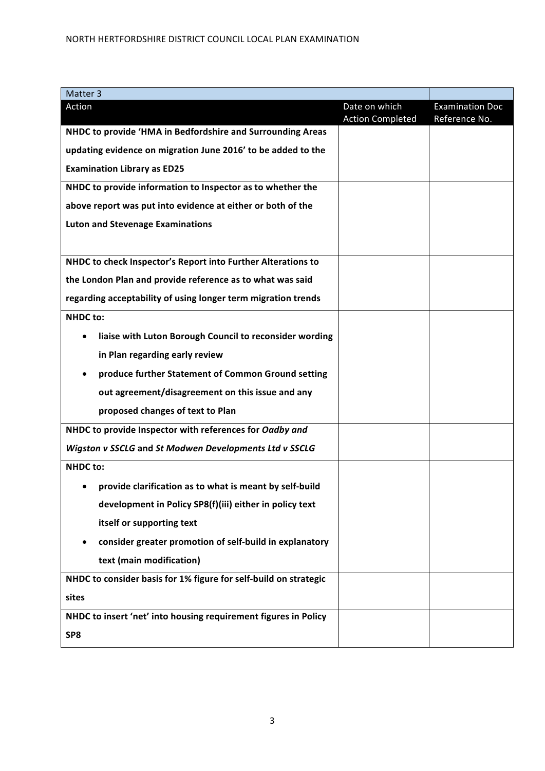| Matter 3                                                         |                         |                        |
|------------------------------------------------------------------|-------------------------|------------------------|
| Action                                                           | Date on which           | <b>Examination Doc</b> |
| NHDC to provide 'HMA in Bedfordshire and Surrounding Areas       | <b>Action Completed</b> | Reference No.          |
| updating evidence on migration June 2016' to be added to the     |                         |                        |
| <b>Examination Library as ED25</b>                               |                         |                        |
|                                                                  |                         |                        |
| NHDC to provide information to Inspector as to whether the       |                         |                        |
| above report was put into evidence at either or both of the      |                         |                        |
| <b>Luton and Stevenage Examinations</b>                          |                         |                        |
|                                                                  |                         |                        |
| NHDC to check Inspector's Report into Further Alterations to     |                         |                        |
| the London Plan and provide reference as to what was said        |                         |                        |
| regarding acceptability of using longer term migration trends    |                         |                        |
| <b>NHDC</b> to:                                                  |                         |                        |
| liaise with Luton Borough Council to reconsider wording          |                         |                        |
| in Plan regarding early review                                   |                         |                        |
| produce further Statement of Common Ground setting               |                         |                        |
| out agreement/disagreement on this issue and any                 |                         |                        |
| proposed changes of text to Plan                                 |                         |                        |
| NHDC to provide Inspector with references for Oadby and          |                         |                        |
| Wigston v SSCLG and St Modwen Developments Ltd v SSCLG           |                         |                        |
| <b>NHDC</b> to:                                                  |                         |                        |
| provide clarification as to what is meant by self-build          |                         |                        |
| development in Policy SP8(f)(iii) either in policy text          |                         |                        |
| itself or supporting text                                        |                         |                        |
| consider greater promotion of self-build in explanatory          |                         |                        |
| text (main modification)                                         |                         |                        |
| NHDC to consider basis for 1% figure for self-build on strategic |                         |                        |
| sites                                                            |                         |                        |
| NHDC to insert 'net' into housing requirement figures in Policy  |                         |                        |
| SP8                                                              |                         |                        |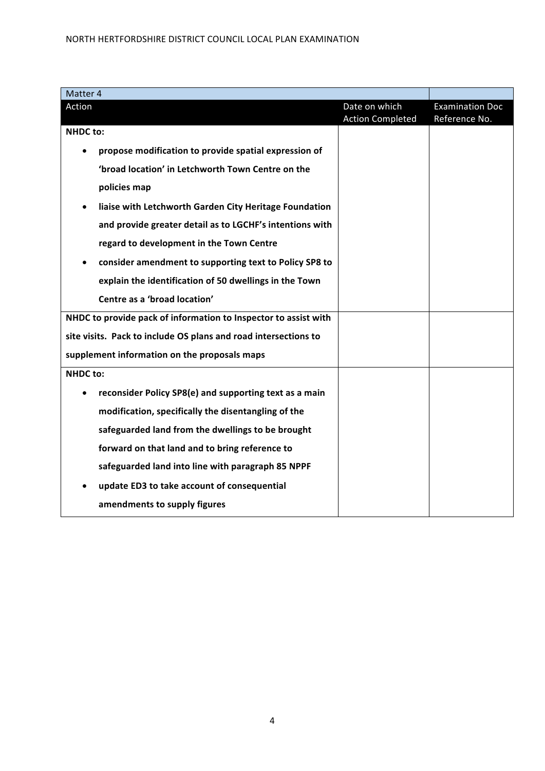| Matter 4                                                            |                                          |                                         |
|---------------------------------------------------------------------|------------------------------------------|-----------------------------------------|
| Action                                                              | Date on which<br><b>Action Completed</b> | <b>Examination Doc</b><br>Reference No. |
| <b>NHDC</b> to:                                                     |                                          |                                         |
| propose modification to provide spatial expression of               |                                          |                                         |
| 'broad location' in Letchworth Town Centre on the                   |                                          |                                         |
| policies map                                                        |                                          |                                         |
| liaise with Letchworth Garden City Heritage Foundation              |                                          |                                         |
| and provide greater detail as to LGCHF's intentions with            |                                          |                                         |
| regard to development in the Town Centre                            |                                          |                                         |
| consider amendment to supporting text to Policy SP8 to<br>$\bullet$ |                                          |                                         |
| explain the identification of 50 dwellings in the Town              |                                          |                                         |
| Centre as a 'broad location'                                        |                                          |                                         |
| NHDC to provide pack of information to Inspector to assist with     |                                          |                                         |
| site visits. Pack to include OS plans and road intersections to     |                                          |                                         |
| supplement information on the proposals maps                        |                                          |                                         |
| <b>NHDC</b> to:                                                     |                                          |                                         |
| reconsider Policy SP8(e) and supporting text as a main              |                                          |                                         |
| modification, specifically the disentangling of the                 |                                          |                                         |
| safeguarded land from the dwellings to be brought                   |                                          |                                         |
| forward on that land and to bring reference to                      |                                          |                                         |
| safeguarded land into line with paragraph 85 NPPF                   |                                          |                                         |
| update ED3 to take account of consequential                         |                                          |                                         |
| amendments to supply figures                                        |                                          |                                         |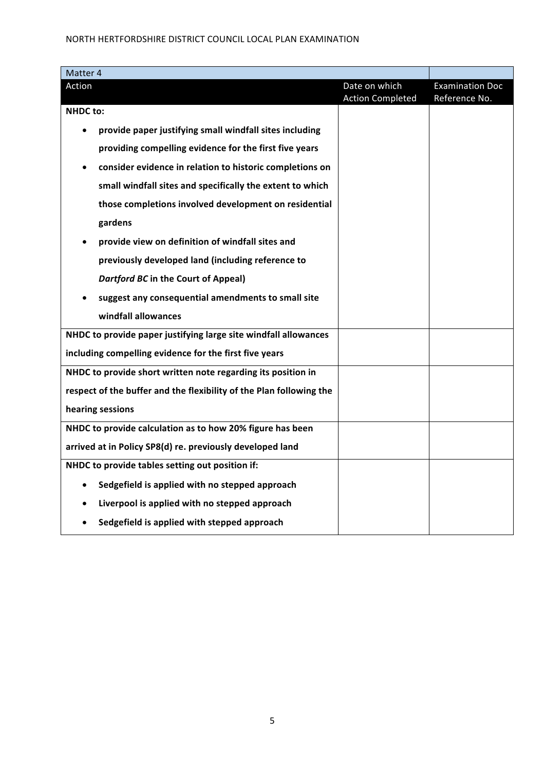| Matter 4                                                            |                                          |                                         |
|---------------------------------------------------------------------|------------------------------------------|-----------------------------------------|
| Action                                                              | Date on which<br><b>Action Completed</b> | <b>Examination Doc</b><br>Reference No. |
| <b>NHDC</b> to:                                                     |                                          |                                         |
| provide paper justifying small windfall sites including             |                                          |                                         |
| providing compelling evidence for the first five years              |                                          |                                         |
| consider evidence in relation to historic completions on            |                                          |                                         |
| small windfall sites and specifically the extent to which           |                                          |                                         |
| those completions involved development on residential               |                                          |                                         |
| gardens                                                             |                                          |                                         |
| provide view on definition of windfall sites and                    |                                          |                                         |
| previously developed land (including reference to                   |                                          |                                         |
| <b>Dartford BC in the Court of Appeal)</b>                          |                                          |                                         |
| suggest any consequential amendments to small site                  |                                          |                                         |
| windfall allowances                                                 |                                          |                                         |
| NHDC to provide paper justifying large site windfall allowances     |                                          |                                         |
| including compelling evidence for the first five years              |                                          |                                         |
| NHDC to provide short written note regarding its position in        |                                          |                                         |
| respect of the buffer and the flexibility of the Plan following the |                                          |                                         |
| hearing sessions                                                    |                                          |                                         |
| NHDC to provide calculation as to how 20% figure has been           |                                          |                                         |
| arrived at in Policy SP8(d) re. previously developed land           |                                          |                                         |
| NHDC to provide tables setting out position if:                     |                                          |                                         |
| Sedgefield is applied with no stepped approach<br>$\bullet$         |                                          |                                         |
| Liverpool is applied with no stepped approach                       |                                          |                                         |
| Sedgefield is applied with stepped approach                         |                                          |                                         |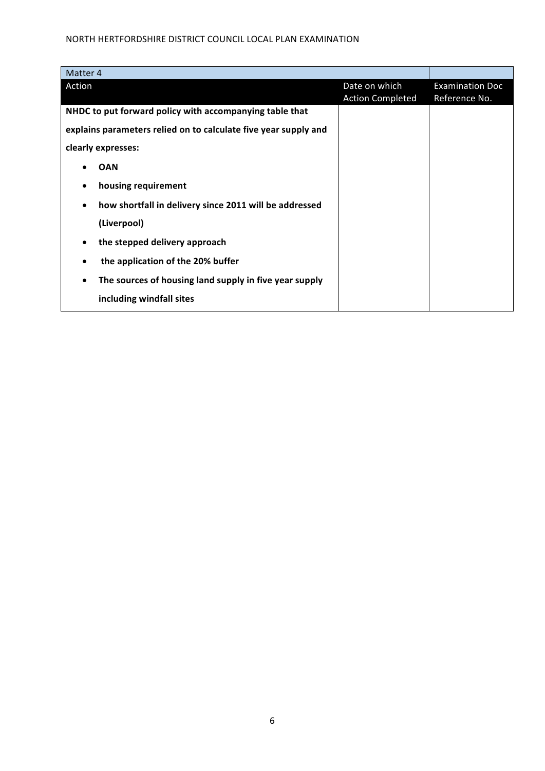| Matter 4                                                        |                                          |                                         |
|-----------------------------------------------------------------|------------------------------------------|-----------------------------------------|
| Action                                                          | Date on which<br><b>Action Completed</b> | <b>Examination Doc</b><br>Reference No. |
| NHDC to put forward policy with accompanying table that         |                                          |                                         |
| explains parameters relied on to calculate five year supply and |                                          |                                         |
| clearly expresses:                                              |                                          |                                         |
| <b>OAN</b>                                                      |                                          |                                         |
| housing requirement                                             |                                          |                                         |
| how shortfall in delivery since 2011 will be addressed<br>٠     |                                          |                                         |
| (Liverpool)                                                     |                                          |                                         |
| the stepped delivery approach                                   |                                          |                                         |
| the application of the 20% buffer<br>٠                          |                                          |                                         |
| The sources of housing land supply in five year supply          |                                          |                                         |
| including windfall sites                                        |                                          |                                         |